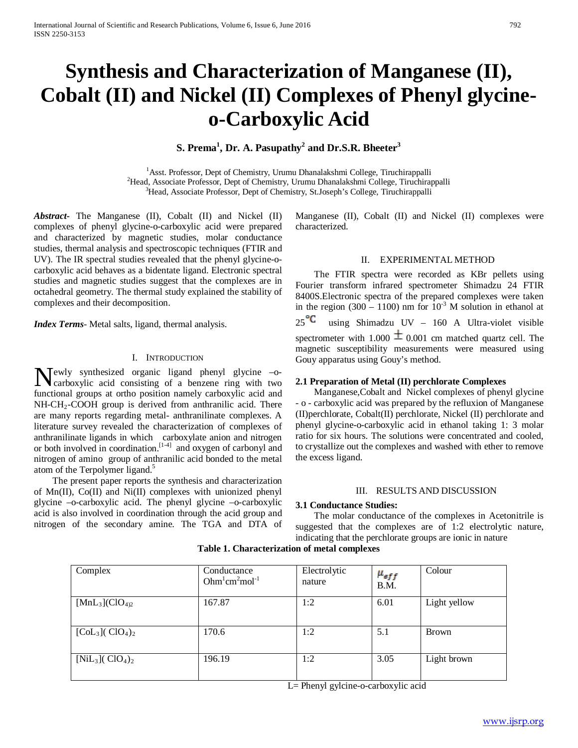# **Synthesis and Characterization of Manganese (II), Cobalt (II) and Nickel (II) Complexes of Phenyl glycineo-Carboxylic Acid**

**S. Prema<sup>1</sup> , Dr. A. Pasupathy<sup>2</sup> and Dr.S.R. Bheeter3**

<sup>1</sup> Asst. Professor, Dept of Chemistry, Urumu Dhanalakshmi College, Tiruchirappalli<br><sup>2</sup>Head, Associate Professor, Dept of Chemistry, Urumu Dhanalakshmi College, Tiruchira <sup>2</sup> Head, Associate Professor, Dept of Chemistry, Urumu Dhanalakshmi College, Tiruchirappalli <sup>3</sup>Head, Associate Professor, Dept of Chemistry, St.Joseph's College, Tiruchirappalli

*Abstract***-** The Manganese (II), Cobalt (II) and Nickel (II) complexes of phenyl glycine-o-carboxylic acid were prepared and characterized by magnetic studies, molar conductance studies, thermal analysis and spectroscopic techniques (FTIR and UV). The IR spectral studies revealed that the phenyl glycine-ocarboxylic acid behaves as a bidentate ligand. Electronic spectral studies and magnetic studies suggest that the complexes are in octahedral geometry. The thermal study explained the stability of complexes and their decomposition.

*Index Terms*- Metal salts, ligand, thermal analysis.

#### I. INTRODUCTION

ewly synthesized organic ligand phenyl glycine –o-Newly synthesized organic ligand phenyl glycine -o-<br>carboxylic acid consisting of a benzene ring with two functional groups at ortho position namely carboxylic acid and NH-CH<sub>2</sub>-COOH group is derived from anthranilic acid. There are many reports regarding metal- anthranilinate complexes. A literature survey revealed the characterization of complexes of anthranilinate ligands in which carboxylate anion and nitrogen or both involved in coordination.<sup>[1-4]</sup> and oxygen of carbonyl and nitrogen of amino group of anthranilic acid bonded to the metal atom of the Terpolymer ligand.<sup>5</sup>

 The present paper reports the synthesis and characterization of Mn(II), Co(II) and Ni(II) complexes with unionized phenyl glycine –o-carboxylic acid. The phenyl glycine –o-carboxylic acid is also involved in coordination through the acid group and nitrogen of the secondary amine. The TGA and DTA of Manganese (II), Cobalt (II) and Nickel (II) complexes were characterized.

#### II. EXPERIMENTAL METHOD

 The FTIR spectra were recorded as KBr pellets using Fourier transform infrared spectrometer Shimadzu 24 FTIR 8400S.Electronic spectra of the prepared complexes were taken in the region (300 – 1100) nm for  $10^{-3}$  M solution in ethanol at  $25^{\circ}$ C using Shimadzu UV – 160 A Ultra-violet visible spectrometer with 1.000  $\pm$  0.001 cm matched quartz cell. The magnetic susceptibility measurements were measured using Gouy apparatus using Gouy's method.

#### **2.1 Preparation of Metal (II) perchlorate Complexes**

 Manganese,Cobalt and Nickel complexes of phenyl glycine - o - carboxylic acid was prepared by the refluxion of Manganese (II)perchlorate, Cobalt(II) perchlorate, Nickel (II) perchlorate and phenyl glycine-o-carboxylic acid in ethanol taking 1: 3 molar ratio for six hours. The solutions were concentrated and cooled, to crystallize out the complexes and washed with ether to remove the excess ligand.

#### III. RESULTS AND DISCUSSION

#### **3.1 Conductance Studies:**

 The molar conductance of the complexes in Acetonitrile is suggested that the complexes are of 1:2 electrolytic nature, indicating that the perchlorate groups are ionic in nature

| Complex                           | Conductance<br>$Ohm1cm2mol-1$ | Electrolytic<br>nature | $\mu_{_{eff}}$<br>B.M. | Colour       |
|-----------------------------------|-------------------------------|------------------------|------------------------|--------------|
| $[MnL_3]$ (ClO <sub>4)2</sub>     | 167.87                        | 1:2                    | 6.01                   | Light yellow |
| $[Col3] (ClO4)2$                  | 170.6                         | 1:2                    | 5.1                    | Brown        |
| [ $Nil3$ ]( $ClO4$ ) <sub>2</sub> | 196.19                        | 1:2                    | 3.05                   | Light brown  |

**Table 1. Characterization of metal complexes**

L= Phenyl gylcine-o-carboxylic acid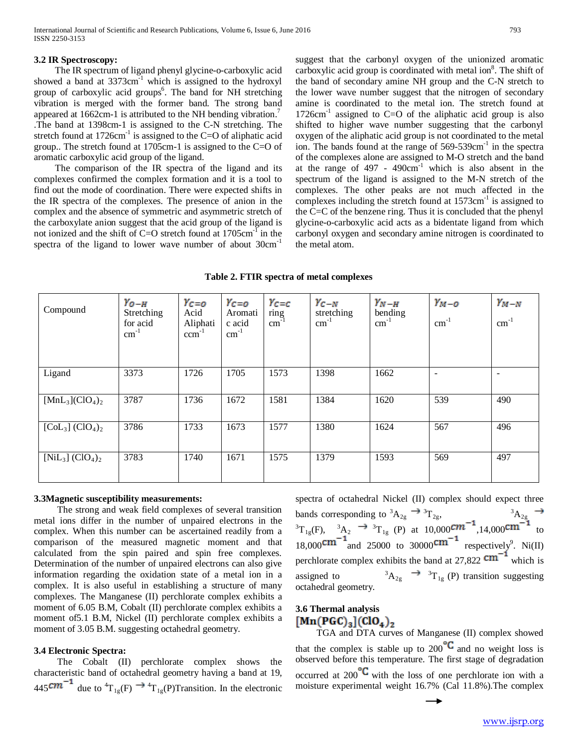#### **3.2 IR Spectroscopy:**

The IR spectrum of ligand phenyl glycine-o-carboxylic acid showed a band at  $3373 \text{cm}^{-1}$  which is assigned to the hydroxyl group of carboxylic acid groups<sup>6</sup>. The band for NH stretching vibration is merged with the former band. The strong band appeared at 1662cm-1 is attributed to the NH bending vibration.<sup>7</sup> .The band at 1398cm-1 is assigned to the C-N stretching. The stretch found at  $1726 \text{cm}^{-1}$  is assigned to the C=O of aliphatic acid group.. The stretch found at 1705cm-1 is assigned to the C=O of aromatic carboxylic acid group of the ligand.

The comparison of the IR spectra of the ligand and its complexes confirmed the complex formation and it is a tool to find out the mode of coordination. There were expected shifts in the IR spectra of the complexes. The presence of anion in the complex and the absence of symmetric and asymmetric stretch of the carboxylate anion suggest that the acid group of the ligand is not ionized and the shift of C=O stretch found at  $1705 \text{cm}^{-1}$  in the spectra of the ligand to lower wave number of about  $30 \text{cm}^{-1}$ 

suggest that the carbonyl oxygen of the unionized aromatic carboxylic acid group is coordinated with metal ion<sup>8</sup>. The shift of the band of secondary amine NH group and the C-N stretch to the lower wave number suggest that the nitrogen of secondary amine is coordinated to the metal ion. The stretch found at 1726 $cm<sup>-1</sup>$  assigned to C=O of the aliphatic acid group is also shifted to higher wave number suggesting that the carbonyl oxygen of the aliphatic acid group is not coordinated to the metal ion. The bands found at the range of 569-539cm<sup>-1</sup> in the spectra of the complexes alone are assigned to M-O stretch and the band at the range of  $497 - 490 \text{cm}^{-1}$  which is also absent in the spectrum of the ligand is assigned to the M-N stretch of the complexes. The other peaks are not much affected in the complexes including the stretch found at  $1573 \text{cm}^{-1}$  is assigned to the C=C of the benzene ring. Thus it is concluded that the phenyl glycine-o-carboxylic acid acts as a bidentate ligand from which carbonyl oxygen and secondary amine nitrogen is coordinated to the metal atom.

| Table 2. FTIR spectra of metal complexes |  |  |  |
|------------------------------------------|--|--|--|
|------------------------------------------|--|--|--|

| Compound                                   | $Y_{O-H}$<br>Stretching<br>for acid<br>$cm^{-1}$ | $Y_{C=0}$<br>Acid<br>Aliphati<br>$\text{ccm}^{-1}$ | $Y_{C=O}$<br>Aromati<br>c acid<br>$cm^{-1}$ | $Y_{C=C}$<br>$\frac{\text{ring}}{\text{cm}^{-1}}$ | $Y_{C-N}$<br>stretching<br>$\text{cm}^{-1}$ | $Y_{N-H}$<br>bending<br>$\text{cm}^{-1}$ | $Y_{M-O}$<br>$cm^{-1}$ | $Y_{M-N}$<br>$\rm cm^{-1}$ |
|--------------------------------------------|--------------------------------------------------|----------------------------------------------------|---------------------------------------------|---------------------------------------------------|---------------------------------------------|------------------------------------------|------------------------|----------------------------|
| Ligand                                     | 3373                                             | 1726                                               | 1705                                        | 1573                                              | 1398                                        | 1662                                     |                        | $\overline{\phantom{0}}$   |
| $[MnL_3]$ (ClO <sub>4</sub> ) <sub>2</sub> | 3787                                             | 1736                                               | 1672                                        | 1581                                              | 1384                                        | 1620                                     | 539                    | 490                        |
| $[Col3] (ClO4)2$                           | 3786                                             | 1733                                               | 1673                                        | 1577                                              | 1380                                        | 1624                                     | 567                    | 496                        |
| $[NiL_3] (ClO_4)_2$                        | 3783                                             | 1740                                               | 1671                                        | 1575                                              | 1379                                        | 1593                                     | 569                    | 497                        |

#### **3.3Magnetic susceptibility measurements:**

 The strong and weak field complexes of several transition metal ions differ in the number of unpaired electrons in the complex. When this number can be ascertained readily from a comparison of the measured magnetic moment and that calculated from the spin paired and spin free complexes. Determination of the number of unpaired electrons can also give information regarding the oxidation state of a metal ion in a complex. It is also useful in establishing a structure of many complexes. The Manganese (II) perchlorate complex exhibits a moment of 6.05 B.M, Cobalt (II) perchlorate complex exhibits a moment of5.1 B.M, Nickel (II) perchlorate complex exhibits a moment of 3.05 B.M. suggesting octahedral geometry.

#### **3.4 Electronic Spectra:**

 The Cobalt (II) perchlorate complex shows the characteristic band of octahedral geometry having a band at 19, 445<sup>cm</sup>  $\dot{ }$  due to  ${}^{4}T_{1g}(F) \rightarrow {}^{4}T_{1g}(P)$ Transition. In the electronic spectra of octahedral Nickel (II) complex should expect three bands corresponding to  ${}^3A_{2g} \rightarrow {}^3T_{2g}$ ,  ${}^3A_{2g}$  ${}^{3}T_{1g}(F)$ ,  ${}^{3}A_{2} \rightarrow {}^{3}T_{1g}(P)$  at 10,000<sup>CM</sup> ,14,000<sup>CM</sup> to 18,000 $\text{cm}$  and 25000 to 30000 $\text{cm}$  respectively<sup>9</sup>. Ni(II) perchlorate complex exhibits the band at 27,822  $cm^{-1}$  which is assigned to <sup>3</sup>  $A_{2g} \rightarrow {^{3}T}_{1g}$  (P) transition suggesting octahedral geometry.

# **3.6 Thermal analysis**  $[Mn(PGC)<sub>3</sub>](ClO<sub>4</sub>)<sub>2</sub>$

 TGA and DTA curves of Manganese (II) complex showed that the complex is stable up to 200  $\blacktriangle$  and no weight loss is observed before this temperature. The first stage of degradation occurred at  $200^{\circ}C$  with the loss of one perchlorate ion with a moisture experimental weight 16.7% (Cal 11.8%).The complex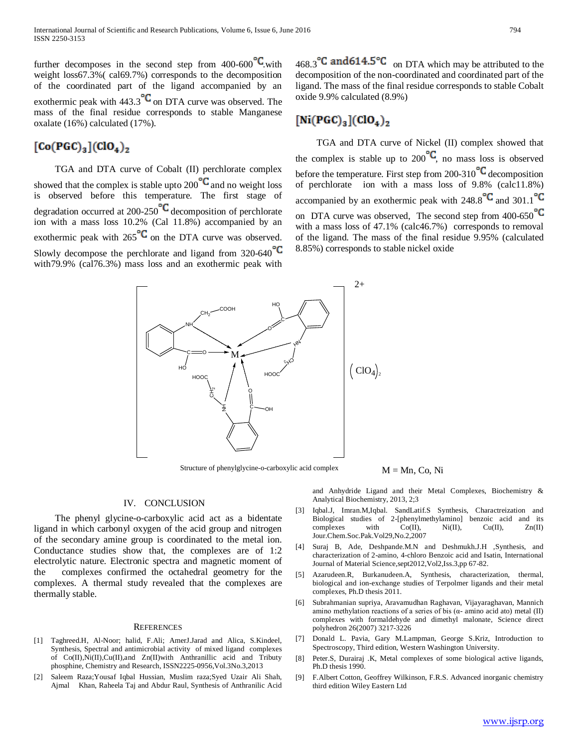further decomposes in the second step from  $400-600^\circ$ C with weight loss67.3%( cal69.7%) corresponds to the decomposition of the coordinated part of the ligand accompanied by an exothermic peak with  $443.3^{\circ}$ C on DTA curve was observed. The mass of the final residue corresponds to stable Manganese oxalate (16%) calculated (17%).

# $[Co(PGC)_{3}](ClO_{4})_{2}$

 TGA and DTA curve of Cobalt (II) perchlorate complex showed that the complex is stable upto  $200$  and no weight loss is observed before this temperature. The first stage of degradation occurred at  $200-250$  decomposition of perchlorate ion with a mass loss 10.2% (Cal 11.8%) accompanied by an exothermic peak with  $265^{\circ}$  on the DTA curve was observed. Slowly decompose the perchlorate and ligand from  $320-640^{\circ}$ C with79.9% (cal76.3%) mass loss and an exothermic peak with

468.3 $\degree$ C and 614.5 $\degree$ C on DTA which may be attributed to the decomposition of the non-coordinated and coordinated part of the ligand. The mass of the final residue corresponds to stable Cobalt oxide 9.9% calculated (8.9%)

## $[Ni(PGC)_3](ClO_4)_2$

 TGA and DTA curve of Nickel (II) complex showed that the complex is stable up to  $200^{\circ}C$ , no mass loss is observed before the temperature. First step from  $200-310$ <sup>o</sup>C decomposition of perchlorate ion with a mass loss of 9.8% (calc11.8%) accompanied by an exothermic peak with  $248.8^{\circ}$  and  $301.1^{\circ}$ on DTA curve was observed. The second step from  $400-650^{\circ}$ C with a mass loss of 47.1% (calc46.7%) corresponds to removal of the ligand. The mass of the final residue 9.95% (calculated 8.85%) corresponds to stable nickel oxide



Structure of phenylglycine-o-carboxylic acid complex  $M = Mn$ , Co, Ni

#### IV. CONCLUSION

 The phenyl glycine-o-carboxylic acid act as a bidentate ligand in which carbonyl oxygen of the acid group and nitrogen of the secondary amine group is coordinated to the metal ion. Conductance studies show that, the complexes are of 1:2 electrolytic nature. Electronic spectra and magnetic moment of the complexes confirmed the octahedral geometry for the complexes. A thermal study revealed that the complexes are thermally stable.

#### **REFERENCES**

- [1] Taghreed.H, Al-Noor; halid, F.Ali; AmerJ.Jarad and Alica, S.Kindeel, Synthesis, Spectral and antimicrobial activity of mixed ligand complexes of Co(II),Ni(II),Cu(II),and Zn(II)with Anthranillic acid and Tributy phosphine, Chemistry and Research, ISSN2225-0956,Vol.3No.3,2013
- [2] Saleem Raza;Yousaf Iqbal Hussian, Muslim raza;Syed Uzair Ali Shah, Ajmal Khan, Raheela Taj and Abdur Raul, Synthesis of Anthranilic Acid

and Anhydride Ligand and their Metal Complexes, Biochemistry & Analytical Biochemistry, 2013, 2;3

- [3] Iqbal.J, Imran.M,Iqbal. SandLatif.S Synthesis, Charactreization and Biological studies of 2-[phenylmethylamino] benzoic acid and its complexes with Co(II), Ni(II), Cu(II), Zn(II) Jour.Chem.Soc.Pak.Vol29,No.2,2007
- [4] Suraj B, Ade, Deshpande.M.N and Deshmukh.J.H ,Synthesis, and characterization of 2-amino, 4-chloro Benzoic acid and Isatin, International Journal of Material Science,sept2012,Vol2,Iss.3,pp 67-82.
- [5] Azarudeen.R, Burkanudeen.A, Synthesis, characterization, thermal, biological and ion-exchange studies of Terpolmer ligands and their metal complexes, Ph.D thesis 2011.
- [6] Subrahmanian supriya, Aravamudhan Raghavan, Vijayaraghavan, Mannich amino methylation reactions of a series of bis (α- amino acid ato) metal (II) complexes with formaldehyde and dimethyl malonate, Science direct polyhedron 26(2007) 3217-3226
- [7] Donald L. Pavia, Gary M.Lampman, George S.Kriz, Introduction to Spectroscopy, Third edition, Western Washington University.
- [8] Peter.S, Durairaj .K, Metal complexes of some biological active ligands, Ph.D thesis 1990.
- [9] F.Albert Cotton, Geoffrey Wilkinson, F.R.S. Advanced inorganic chemistry third edition Wiley Eastern Ltd